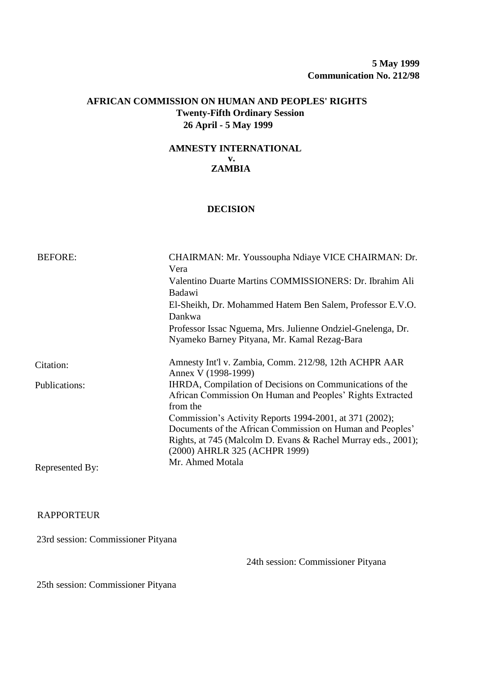**5 May 1999 Communication No. 212/98**

# **AFRICAN COMMISSION ON HUMAN AND PEOPLES' RIGHTS Twenty-Fifth Ordinary Session 26 April - 5 May 1999**

### **AMNESTY INTERNATIONAL v. ZAMBIA**

### **DECISION**

| <b>BEFORE:</b>  | CHAIRMAN: Mr. Youssoupha Ndiaye VICE CHAIRMAN: Dr.<br>Vera                                                                                                                                                             |
|-----------------|------------------------------------------------------------------------------------------------------------------------------------------------------------------------------------------------------------------------|
|                 | Valentino Duarte Martins COMMISSIONERS: Dr. Ibrahim Ali                                                                                                                                                                |
|                 | <b>Badawi</b>                                                                                                                                                                                                          |
|                 | El-Sheikh, Dr. Mohammed Hatem Ben Salem, Professor E.V.O.                                                                                                                                                              |
|                 | Dankwa                                                                                                                                                                                                                 |
|                 | Professor Issac Nguema, Mrs. Julienne Ondziel-Gnelenga, Dr.<br>Nyameko Barney Pityana, Mr. Kamal Rezag-Bara                                                                                                            |
| Citation:       | Amnesty Int'l v. Zambia, Comm. 212/98, 12th ACHPR AAR<br>Annex V (1998-1999)                                                                                                                                           |
| Publications:   | IHRDA, Compilation of Decisions on Communications of the<br>African Commission On Human and Peoples' Rights Extracted<br>from the                                                                                      |
|                 | Commission's Activity Reports 1994-2001, at 371 (2002);<br>Documents of the African Commission on Human and Peoples'<br>Rights, at 745 (Malcolm D. Evans & Rachel Murray eds., 2001);<br>(2000) AHRLR 325 (ACHPR 1999) |
| Represented By: | Mr. Ahmed Motala                                                                                                                                                                                                       |

#### RAPPORTEUR

23rd session: Commissioner Pityana

24th session: Commissioner Pityana

25th session: Commissioner Pityana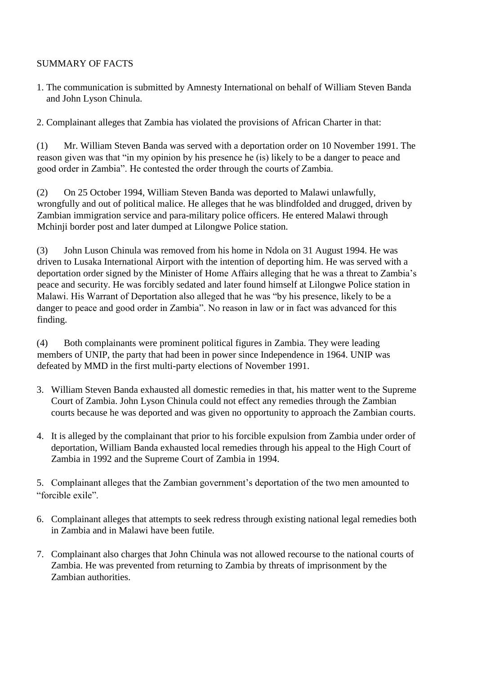## SUMMARY OF FACTS

1. The communication is submitted by Amnesty International on behalf of William Steven Banda and John Lyson Chinula.

2. Complainant alleges that Zambia has violated the provisions of African Charter in that:

(1) Mr. William Steven Banda was served with a deportation order on 10 November 1991. The reason given was that "in my opinion by his presence he (is) likely to be a danger to peace and good order in Zambia". He contested the order through the courts of Zambia.

(2) On 25 October 1994, William Steven Banda was deported to Malawi unlawfully, wrongfully and out of political malice. He alleges that he was blindfolded and drugged, driven by Zambian immigration service and para-military police officers. He entered Malawi through Mchinji border post and later dumped at Lilongwe Police station.

(3) John Luson Chinula was removed from his home in Ndola on 31 August 1994. He was driven to Lusaka International Airport with the intention of deporting him. He was served with a deportation order signed by the Minister of Home Affairs alleging that he was a threat to Zambia's peace and security. He was forcibly sedated and later found himself at Lilongwe Police station in Malawi. His Warrant of Deportation also alleged that he was "by his presence, likely to be a danger to peace and good order in Zambia". No reason in law or in fact was advanced for this finding.

(4) Both complainants were prominent political figures in Zambia. They were leading members of UNIP, the party that had been in power since Independence in 1964. UNIP was defeated by MMD in the first multi-party elections of November 1991.

- 3. William Steven Banda exhausted all domestic remedies in that, his matter went to the Supreme Court of Zambia. John Lyson Chinula could not effect any remedies through the Zambian courts because he was deported and was given no opportunity to approach the Zambian courts.
- 4. It is alleged by the complainant that prior to his forcible expulsion from Zambia under order of deportation, William Banda exhausted local remedies through his appeal to the High Court of Zambia in 1992 and the Supreme Court of Zambia in 1994.

5. Complainant alleges that the Zambian government's deportation of the two men amounted to "forcible exile".

- 6. Complainant alleges that attempts to seek redress through existing national legal remedies both in Zambia and in Malawi have been futile.
- 7. Complainant also charges that John Chinula was not allowed recourse to the national courts of Zambia. He was prevented from returning to Zambia by threats of imprisonment by the Zambian authorities.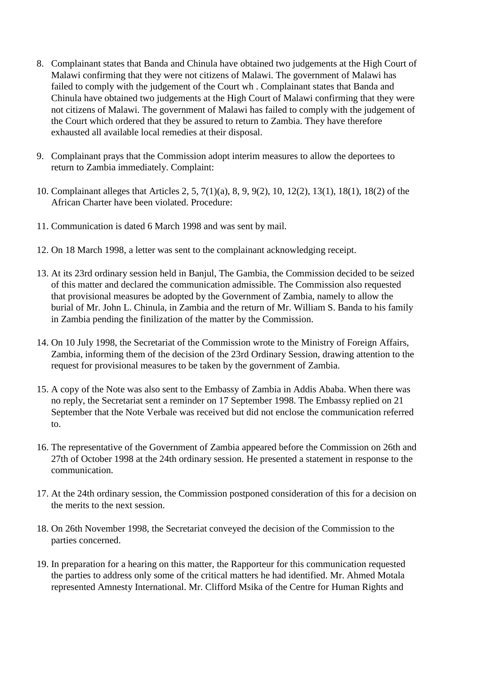- 8. Complainant states that Banda and Chinula have obtained two judgements at the High Court of Malawi confirming that they were not citizens of Malawi. The government of Malawi has failed to comply with the judgement of the Court wh . Complainant states that Banda and Chinula have obtained two judgements at the High Court of Malawi confirming that they were not citizens of Malawi. The government of Malawi has failed to comply with the judgement of the Court which ordered that they be assured to return to Zambia. They have therefore exhausted all available local remedies at their disposal.
- 9. Complainant prays that the Commission adopt interim measures to allow the deportees to return to Zambia immediately. Complaint:
- 10. Complainant alleges that Articles 2, 5, 7(1)(a), 8, 9, 9(2), 10, 12(2), 13(1), 18(1), 18(2) of the African Charter have been violated. Procedure:
- 11. Communication is dated 6 March 1998 and was sent by mail.
- 12. On 18 March 1998, a letter was sent to the complainant acknowledging receipt.
- 13. At its 23rd ordinary session held in Banjul, The Gambia, the Commission decided to be seized of this matter and declared the communication admissible. The Commission also requested that provisional measures be adopted by the Government of Zambia, namely to allow the burial of Mr. John L. Chinula, in Zambia and the return of Mr. William S. Banda to his family in Zambia pending the finilization of the matter by the Commission.
- 14. On 10 July 1998, the Secretariat of the Commission wrote to the Ministry of Foreign Affairs, Zambia, informing them of the decision of the 23rd Ordinary Session, drawing attention to the request for provisional measures to be taken by the government of Zambia.
- 15. A copy of the Note was also sent to the Embassy of Zambia in Addis Ababa. When there was no reply, the Secretariat sent a reminder on 17 September 1998. The Embassy replied on 21 September that the Note Verbale was received but did not enclose the communication referred to.
- 16. The representative of the Government of Zambia appeared before the Commission on 26th and 27th of October 1998 at the 24th ordinary session. He presented a statement in response to the communication.
- 17. At the 24th ordinary session, the Commission postponed consideration of this for a decision on the merits to the next session.
- 18. On 26th November 1998, the Secretariat conveyed the decision of the Commission to the parties concerned.
- 19. In preparation for a hearing on this matter, the Rapporteur for this communication requested the parties to address only some of the critical matters he had identified. Mr. Ahmed Motala represented Amnesty International. Mr. Clifford Msika of the Centre for Human Rights and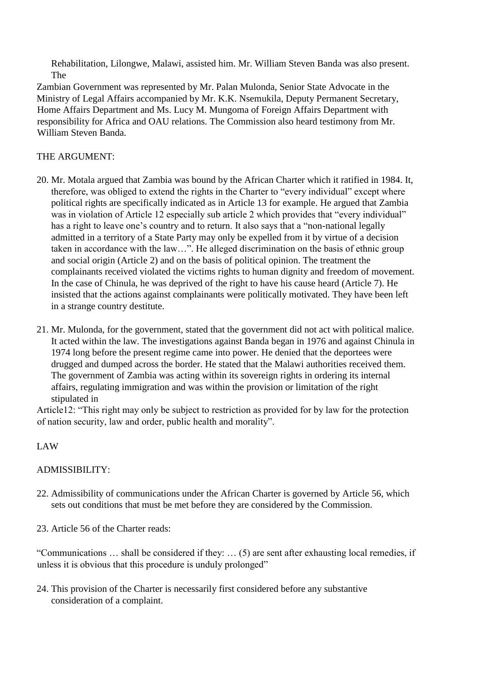Rehabilitation, Lilongwe, Malawi, assisted him. Mr. William Steven Banda was also present. The

Zambian Government was represented by Mr. Palan Mulonda, Senior State Advocate in the Ministry of Legal Affairs accompanied by Mr. K.K. Nsemukila, Deputy Permanent Secretary, Home Affairs Department and Ms. Lucy M. Mungoma of Foreign Affairs Department with responsibility for Africa and OAU relations. The Commission also heard testimony from Mr. William Steven Banda.

## THE ARGUMENT:

- 20. Mr. Motala argued that Zambia was bound by the African Charter which it ratified in 1984. It, therefore, was obliged to extend the rights in the Charter to "every individual" except where political rights are specifically indicated as in Article 13 for example. He argued that Zambia was in violation of Article 12 especially sub article 2 which provides that "every individual" has a right to leave one's country and to return. It also says that a "non-national legally admitted in a territory of a State Party may only be expelled from it by virtue of a decision taken in accordance with the law…". He alleged discrimination on the basis of ethnic group and social origin (Article 2) and on the basis of political opinion. The treatment the complainants received violated the victims rights to human dignity and freedom of movement. In the case of Chinula, he was deprived of the right to have his cause heard (Article 7). He insisted that the actions against complainants were politically motivated. They have been left in a strange country destitute.
- 21. Mr. Mulonda, for the government, stated that the government did not act with political malice. It acted within the law. The investigations against Banda began in 1976 and against Chinula in 1974 long before the present regime came into power. He denied that the deportees were drugged and dumped across the border. He stated that the Malawi authorities received them. The government of Zambia was acting within its sovereign rights in ordering its internal affairs, regulating immigration and was within the provision or limitation of the right stipulated in

Article12: "This right may only be subject to restriction as provided for by law for the protection of nation security, law and order, public health and morality".

LAW

# ADMISSIBILITY:

- 22. Admissibility of communications under the African Charter is governed by Article 56, which sets out conditions that must be met before they are considered by the Commission.
- 23. Article 56 of the Charter reads:

"Communications … shall be considered if they: … (5) are sent after exhausting local remedies, if unless it is obvious that this procedure is unduly prolonged"

24. This provision of the Charter is necessarily first considered before any substantive consideration of a complaint.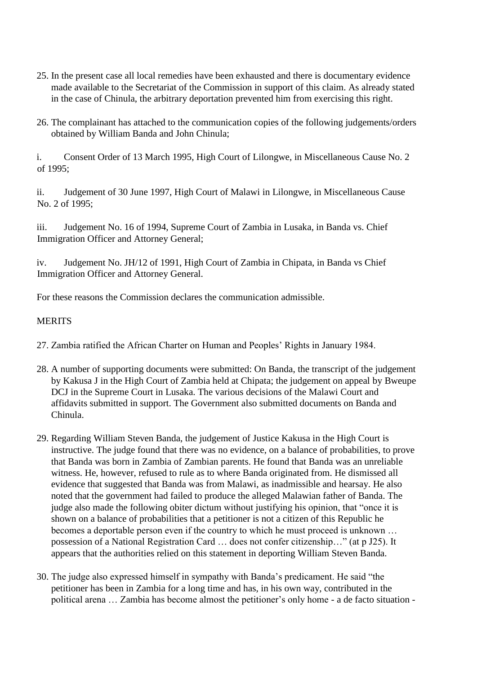- 25. In the present case all local remedies have been exhausted and there is documentary evidence made available to the Secretariat of the Commission in support of this claim. As already stated in the case of Chinula, the arbitrary deportation prevented him from exercising this right.
- 26. The complainant has attached to the communication copies of the following judgements/orders obtained by William Banda and John Chinula;

i. Consent Order of 13 March 1995, High Court of Lilongwe, in Miscellaneous Cause No. 2 of 1995;

ii. Judgement of 30 June 1997, High Court of Malawi in Lilongwe, in Miscellaneous Cause No. 2 of 1995;

iii. Judgement No. 16 of 1994, Supreme Court of Zambia in Lusaka, in Banda vs. Chief Immigration Officer and Attorney General;

iv. Judgement No. JH/12 of 1991, High Court of Zambia in Chipata, in Banda vs Chief Immigration Officer and Attorney General.

For these reasons the Commission declares the communication admissible.

### **MERITS**

27. Zambia ratified the African Charter on Human and Peoples' Rights in January 1984.

- 28. A number of supporting documents were submitted: On Banda, the transcript of the judgement by Kakusa J in the High Court of Zambia held at Chipata; the judgement on appeal by Bweupe DCJ in the Supreme Court in Lusaka. The various decisions of the Malawi Court and affidavits submitted in support. The Government also submitted documents on Banda and Chinula.
- 29. Regarding William Steven Banda, the judgement of Justice Kakusa in the High Court is instructive. The judge found that there was no evidence, on a balance of probabilities, to prove that Banda was born in Zambia of Zambian parents. He found that Banda was an unreliable witness. He, however, refused to rule as to where Banda originated from. He dismissed all evidence that suggested that Banda was from Malawi, as inadmissible and hearsay. He also noted that the government had failed to produce the alleged Malawian father of Banda. The judge also made the following obiter dictum without justifying his opinion, that "once it is shown on a balance of probabilities that a petitioner is not a citizen of this Republic he becomes a deportable person even if the country to which he must proceed is unknown … possession of a National Registration Card … does not confer citizenship…" (at p J25). It appears that the authorities relied on this statement in deporting William Steven Banda.
- 30. The judge also expressed himself in sympathy with Banda's predicament. He said "the petitioner has been in Zambia for a long time and has, in his own way, contributed in the political arena … Zambia has become almost the petitioner's only home - a de facto situation -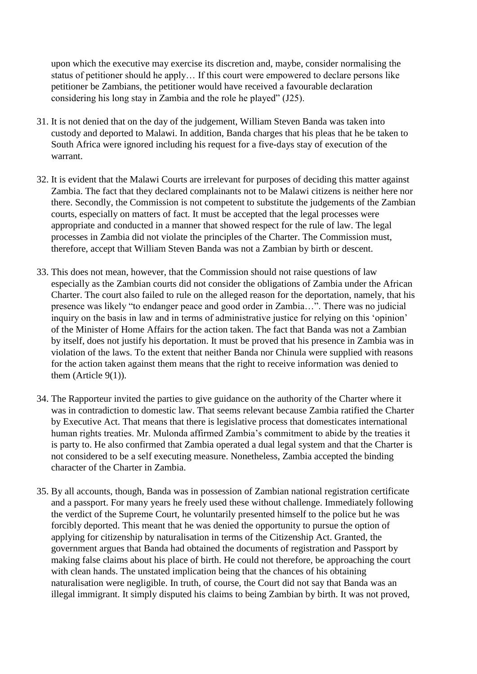upon which the executive may exercise its discretion and, maybe, consider normalising the status of petitioner should he apply… If this court were empowered to declare persons like petitioner be Zambians, the petitioner would have received a favourable declaration considering his long stay in Zambia and the role he played" (J25).

- 31. It is not denied that on the day of the judgement, William Steven Banda was taken into custody and deported to Malawi. In addition, Banda charges that his pleas that he be taken to South Africa were ignored including his request for a five-days stay of execution of the warrant.
- 32. It is evident that the Malawi Courts are irrelevant for purposes of deciding this matter against Zambia. The fact that they declared complainants not to be Malawi citizens is neither here nor there. Secondly, the Commission is not competent to substitute the judgements of the Zambian courts, especially on matters of fact. It must be accepted that the legal processes were appropriate and conducted in a manner that showed respect for the rule of law. The legal processes in Zambia did not violate the principles of the Charter. The Commission must, therefore, accept that William Steven Banda was not a Zambian by birth or descent.
- 33. This does not mean, however, that the Commission should not raise questions of law especially as the Zambian courts did not consider the obligations of Zambia under the African Charter. The court also failed to rule on the alleged reason for the deportation, namely, that his presence was likely "to endanger peace and good order in Zambia…". There was no judicial inquiry on the basis in law and in terms of administrative justice for relying on this 'opinion' of the Minister of Home Affairs for the action taken. The fact that Banda was not a Zambian by itself, does not justify his deportation. It must be proved that his presence in Zambia was in violation of the laws. To the extent that neither Banda nor Chinula were supplied with reasons for the action taken against them means that the right to receive information was denied to them (Article 9(1)).
- 34. The Rapporteur invited the parties to give guidance on the authority of the Charter where it was in contradiction to domestic law. That seems relevant because Zambia ratified the Charter by Executive Act. That means that there is legislative process that domesticates international human rights treaties. Mr. Mulonda affirmed Zambia's commitment to abide by the treaties it is party to. He also confirmed that Zambia operated a dual legal system and that the Charter is not considered to be a self executing measure. Nonetheless, Zambia accepted the binding character of the Charter in Zambia.
- 35. By all accounts, though, Banda was in possession of Zambian national registration certificate and a passport. For many years he freely used these without challenge. Immediately following the verdict of the Supreme Court, he voluntarily presented himself to the police but he was forcibly deported. This meant that he was denied the opportunity to pursue the option of applying for citizenship by naturalisation in terms of the Citizenship Act. Granted, the government argues that Banda had obtained the documents of registration and Passport by making false claims about his place of birth. He could not therefore, be approaching the court with clean hands. The unstated implication being that the chances of his obtaining naturalisation were negligible. In truth, of course, the Court did not say that Banda was an illegal immigrant. It simply disputed his claims to being Zambian by birth. It was not proved,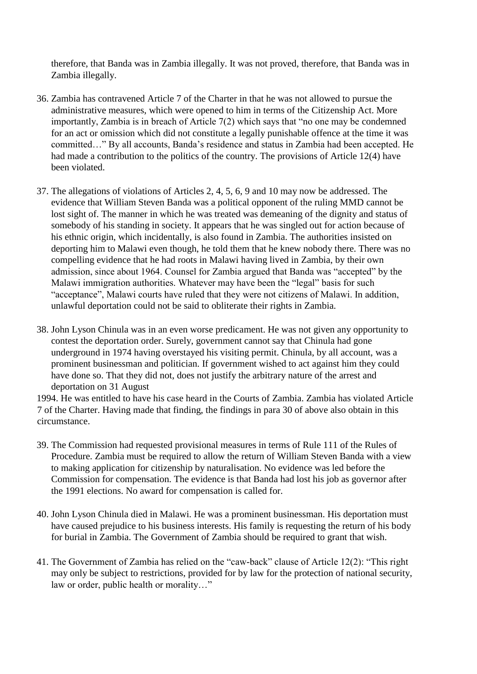therefore, that Banda was in Zambia illegally. It was not proved, therefore, that Banda was in Zambia illegally.

- 36. Zambia has contravened Article 7 of the Charter in that he was not allowed to pursue the administrative measures, which were opened to him in terms of the Citizenship Act. More importantly, Zambia is in breach of Article 7(2) which says that "no one may be condemned for an act or omission which did not constitute a legally punishable offence at the time it was committed…" By all accounts, Banda's residence and status in Zambia had been accepted. He had made a contribution to the politics of the country. The provisions of Article 12(4) have been violated.
- 37. The allegations of violations of Articles 2, 4, 5, 6, 9 and 10 may now be addressed. The evidence that William Steven Banda was a political opponent of the ruling MMD cannot be lost sight of. The manner in which he was treated was demeaning of the dignity and status of somebody of his standing in society. It appears that he was singled out for action because of his ethnic origin, which incidentally, is also found in Zambia. The authorities insisted on deporting him to Malawi even though, he told them that he knew nobody there. There was no compelling evidence that he had roots in Malawi having lived in Zambia, by their own admission, since about 1964. Counsel for Zambia argued that Banda was "accepted" by the Malawi immigration authorities. Whatever may have been the "legal" basis for such "acceptance", Malawi courts have ruled that they were not citizens of Malawi. In addition, unlawful deportation could not be said to obliterate their rights in Zambia.
- 38. John Lyson Chinula was in an even worse predicament. He was not given any opportunity to contest the deportation order. Surely, government cannot say that Chinula had gone underground in 1974 having overstayed his visiting permit. Chinula, by all account, was a prominent businessman and politician. If government wished to act against him they could have done so. That they did not, does not justify the arbitrary nature of the arrest and deportation on 31 August

1994. He was entitled to have his case heard in the Courts of Zambia. Zambia has violated Article 7 of the Charter. Having made that finding, the findings in para 30 of above also obtain in this circumstance.

- 39. The Commission had requested provisional measures in terms of Rule 111 of the Rules of Procedure. Zambia must be required to allow the return of William Steven Banda with a view to making application for citizenship by naturalisation. No evidence was led before the Commission for compensation. The evidence is that Banda had lost his job as governor after the 1991 elections. No award for compensation is called for.
- 40. John Lyson Chinula died in Malawi. He was a prominent businessman. His deportation must have caused prejudice to his business interests. His family is requesting the return of his body for burial in Zambia. The Government of Zambia should be required to grant that wish.
- 41. The Government of Zambia has relied on the "caw-back" clause of Article 12(2): "This right may only be subject to restrictions, provided for by law for the protection of national security, law or order, public health or morality…"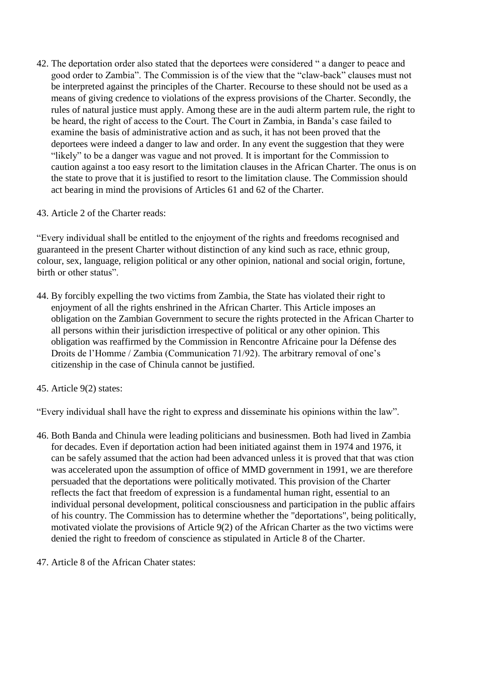- 42. The deportation order also stated that the deportees were considered " a danger to peace and good order to Zambia". The Commission is of the view that the "claw-back" clauses must not be interpreted against the principles of the Charter. Recourse to these should not be used as a means of giving credence to violations of the express provisions of the Charter. Secondly, the rules of natural justice must apply. Among these are in the audi alterm partem rule, the right to be heard, the right of access to the Court. The Court in Zambia, in Banda's case failed to examine the basis of administrative action and as such, it has not been proved that the deportees were indeed a danger to law and order. In any event the suggestion that they were "likely" to be a danger was vague and not proved. It is important for the Commission to caution against a too easy resort to the limitation clauses in the African Charter. The onus is on the state to prove that it is justified to resort to the limitation clause. The Commission should act bearing in mind the provisions of Articles 61 and 62 of the Charter.
- 43. Article 2 of the Charter reads:

"Every individual shall be entitled to the enjoyment of the rights and freedoms recognised and guaranteed in the present Charter without distinction of any kind such as race, ethnic group, colour, sex, language, religion political or any other opinion, national and social origin, fortune, birth or other status".

- 44. By forcibly expelling the two victims from Zambia, the State has violated their right to enjoyment of all the rights enshrined in the African Charter. This Article imposes an obligation on the Zambian Government to secure the rights protected in the African Charter to all persons within their jurisdiction irrespective of political or any other opinion. This obligation was reaffirmed by the Commission in Rencontre Africaine pour la Défense des Droits de l'Homme / Zambia (Communication 71/92). The arbitrary removal of one's citizenship in the case of Chinula cannot be justified.
- 45. Article 9(2) states:

"Every individual shall have the right to express and disseminate his opinions within the law".

- 46. Both Banda and Chinula were leading politicians and businessmen. Both had lived in Zambia for decades. Even if deportation action had been initiated against them in 1974 and 1976, it can be safely assumed that the action had been advanced unless it is proved that that was ction was accelerated upon the assumption of office of MMD government in 1991, we are therefore persuaded that the deportations were politically motivated. This provision of the Charter reflects the fact that freedom of expression is a fundamental human right, essential to an individual personal development, political consciousness and participation in the public affairs of his country. The Commission has to determine whether the "deportations", being politically, motivated violate the provisions of Article 9(2) of the African Charter as the two victims were denied the right to freedom of conscience as stipulated in Article 8 of the Charter.
- 47. Article 8 of the African Chater states: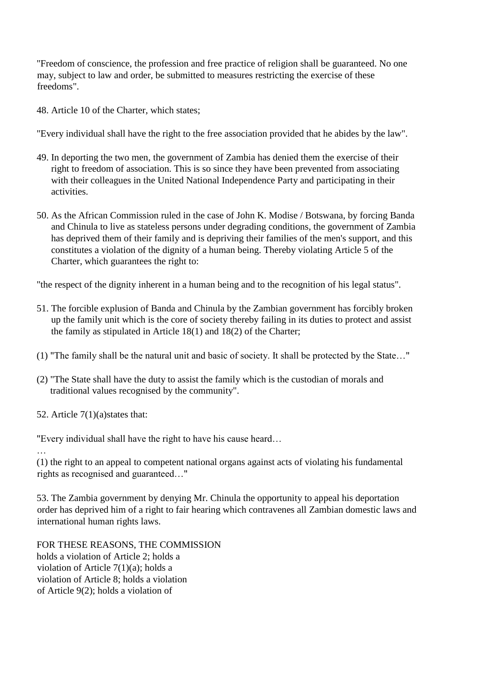"Freedom of conscience, the profession and free practice of religion shall be guaranteed. No one may, subject to law and order, be submitted to measures restricting the exercise of these freedoms".

48. Article 10 of the Charter, which states;

"Every individual shall have the right to the free association provided that he abides by the law".

- 49. In deporting the two men, the government of Zambia has denied them the exercise of their right to freedom of association. This is so since they have been prevented from associating with their colleagues in the United National Independence Party and participating in their activities.
- 50. As the African Commission ruled in the case of John K. Modise / Botswana, by forcing Banda and Chinula to live as stateless persons under degrading conditions, the government of Zambia has deprived them of their family and is depriving their families of the men's support, and this constitutes a violation of the dignity of a human being. Thereby violating Article 5 of the Charter, which guarantees the right to:

"the respect of the dignity inherent in a human being and to the recognition of his legal status".

- 51. The forcible explusion of Banda and Chinula by the Zambian government has forcibly broken up the family unit which is the core of society thereby failing in its duties to protect and assist the family as stipulated in Article 18(1) and 18(2) of the Charter;
- (1) "The family shall be the natural unit and basic of society. It shall be protected by the State…"
- (2) "The State shall have the duty to assist the family which is the custodian of morals and traditional values recognised by the community".
- 52. Article 7(1)(a)states that:

"Every individual shall have the right to have his cause heard…

…

(1) the right to an appeal to competent national organs against acts of violating his fundamental rights as recognised and guaranteed…"

53. The Zambia government by denying Mr. Chinula the opportunity to appeal his deportation order has deprived him of a right to fair hearing which contravenes all Zambian domestic laws and international human rights laws.

FOR THESE REASONS, THE COMMISSION holds a violation of Article 2; holds a violation of Article 7(1)(a); holds a violation of Article 8; holds a violation of Article 9(2); holds a violation of